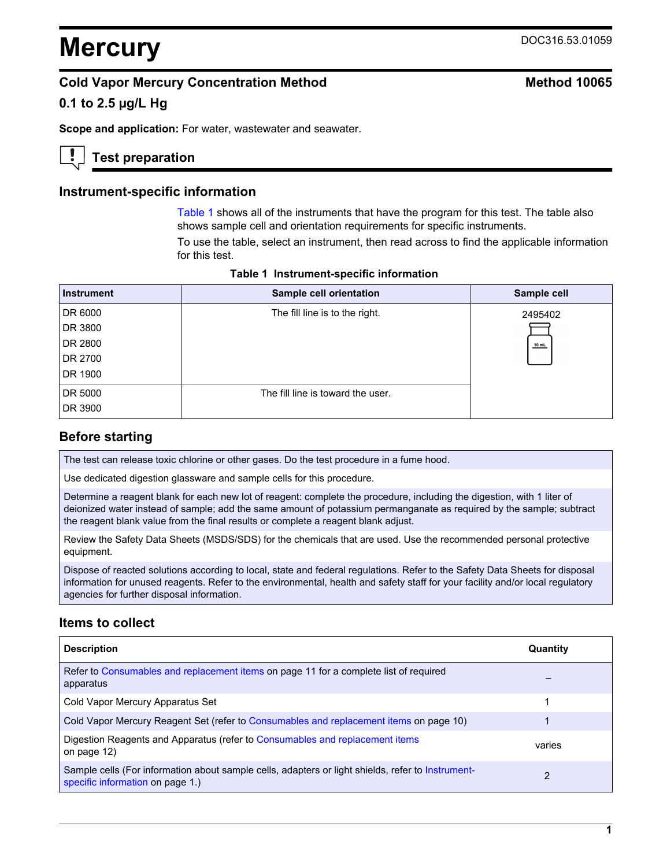# **Mercury** DOC316.53.01059

# **Cold Vapor Mercury Concentration Method Method 10065**

# **0.1 to 2.5 µg/L Hg**

**Scope and application:** For water, wastewater and seawater.

# **Test preparation**

## **Instrument-specific information**

[Table 1](#page-0-0) shows all of the instruments that have the program for this test. The table also shows sample cell and orientation requirements for specific instruments.

To use the table, select an instrument, then read across to find the applicable information for this test.

<span id="page-0-1"></span><span id="page-0-0"></span>

| <b>Instrument</b> | Sample cell orientation           | Sample cell |
|-------------------|-----------------------------------|-------------|
| DR 6000           | The fill line is to the right.    | 2495402     |
| DR 3800           |                                   |             |
| DR 2800           |                                   | $10$ mL     |
| DR 2700           |                                   |             |
| DR 1900           |                                   |             |
| DR 5000           | The fill line is toward the user. |             |
| DR 3900           |                                   |             |

**Table 1 Instrument-specific information** 

# **Before starting**

The test can release toxic chlorine or other gases. Do the test procedure in a fume hood.

Use dedicated digestion glassware and sample cells for this procedure.

Determine a reagent blank for each new lot of reagent: complete the procedure, including the digestion, with 1 liter of deionized water instead of sample; add the same amount of potassium permanganate as required by the sample; subtract the reagent blank value from the final results or complete a reagent blank adjust.

Review the Safety Data Sheets (MSDS/SDS) for the chemicals that are used. Use the recommended personal protective equipment.

Dispose of reacted solutions according to local, state and federal regulations. Refer to the Safety Data Sheets for disposal information for unused reagents. Refer to the environmental, health and safety staff for your facility and/or local regulatory agencies for further disposal information.

# **Items to collect**

| <b>Description</b>                                                                                                                    | Quantity |
|---------------------------------------------------------------------------------------------------------------------------------------|----------|
| Refer to Consumables and replacement items on page 11 for a complete list of required<br>apparatus                                    |          |
| Cold Vapor Mercury Apparatus Set                                                                                                      |          |
| Cold Vapor Mercury Reagent Set (refer to Consumables and replacement items on page 10)                                                |          |
| Digestion Reagents and Apparatus (refer to Consumables and replacement items<br>on page 12)                                           | varies   |
| Sample cells (For information about sample cells, adapters or light shields, refer to Instrument-<br>specific information on page 1.) | 2        |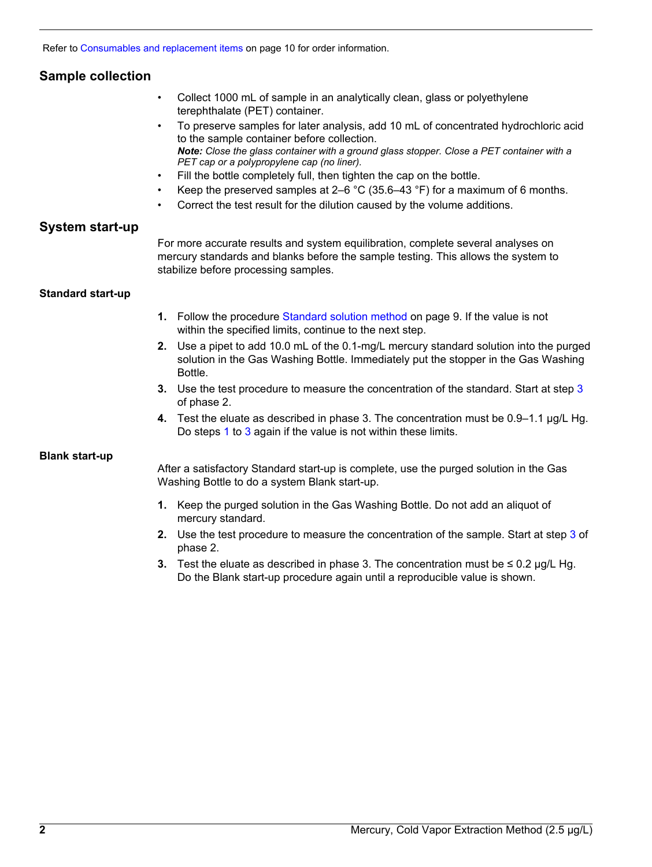Refer to [Consumables and replacement items](#page-9-1) on page 10 for order information.

# **Sample collection**

- Collect 1000 mL of sample in an analytically clean, glass or polyethylene terephthalate (PET) container.
- To preserve samples for later analysis, add 10 mL of concentrated hydrochloric acid to the sample container before collection. *Note: Close the glass container with a ground glass stopper. Close a PET container with a PET cap or a polypropylene cap (no liner).*
- Fill the bottle completely full, then tighten the cap on the bottle.
- Keep the preserved samples at 2–6  $\degree$ C (35.6–43  $\degree$ F) for a maximum of 6 months.
- Correct the test result for the dilution caused by the volume additions.

#### **System start-up**

For more accurate results and system equilibration, complete several analyses on mercury standards and blanks before the sample testing. This allows the system to stabilize before processing samples.

#### <span id="page-1-0"></span>**Standard start-up**

- **1.** Follow the procedure [Standard solution method](#page-8-0) on page 9. If the value is not within the specified limits, continue to the next step.
- **2.** Use a pipet to add 10.0 mL of the 0.1-mg/L mercury standard solution into the purged solution in the Gas Washing Bottle. Immediately put the stopper in the Gas Washing Bottle.
- **3.** Use the test procedure to measure the concentration of the standard. Start at step 3 of phase 2.
- **4.** Test the eluate as described in phase 3. The concentration must be 0.9–1.1 µg/L Hg. Do steps [1](#page-1-0) to [3](#page-1-1) again if the value is not within these limits.

#### <span id="page-1-1"></span>**Blank start-up**

After a satisfactory Standard start-up is complete, use the purged solution in the Gas Washing Bottle to do a system Blank start-up.

- **1.** Keep the purged solution in the Gas Washing Bottle. Do not add an aliquot of mercury standard.
- **2.** Use the test procedure to measure the concentration of the sample. Start at step 3 of phase 2.
- **3.** Test the eluate as described in phase 3. The concentration must be  $\leq 0.2$  µg/L Hg. Do the Blank start-up procedure again until a reproducible value is shown.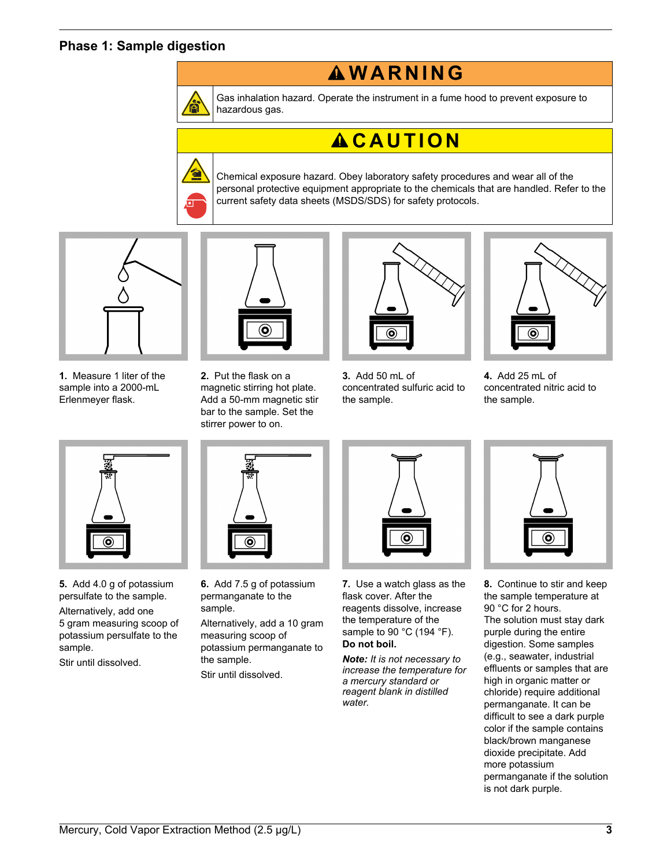## **Phase 1: Sample digestion**



Gas inhalation hazard. Operate the instrument in a fume hood to prevent exposure to hazardous gas.

**W A R N I N G**

# **A C A U T I O N**

Chemical exposure hazard. Obey laboratory safety procedures and wear all of the personal protective equipment appropriate to the chemicals that are handled. Refer to the current safety data sheets (MSDS/SDS) for safety protocols.



**1.** Measure 1 liter of the sample into a 2000-mL Erlenmeyer flask.



**2.** Put the flask on a magnetic stirring hot plate. Add a 50-mm magnetic stir bar to the sample. Set the stirrer power to on.



**3.** Add 50 mL of concentrated sulfuric acid to the sample.



**4.** Add 25 mL of concentrated nitric acid to the sample.



**5.** Add 4.0 g of potassium persulfate to the sample.

Alternatively, add one 5 gram measuring scoop of potassium persulfate to the sample.

Stir until dissolved.



**6.** Add 7.5 g of potassium permanganate to the sample.

Alternatively, add a 10 gram measuring scoop of potassium permanganate to the sample. Stir until dissolved.



**7.** Use a watch glass as the flask cover. After the reagents dissolve, increase the temperature of the sample to 90 °C (194 °F). **Do not boil.**

*Note: It is not necessary to increase the temperature for a mercury standard or reagent blank in distilled water.*



**8.** Continue to stir and keep the sample temperature at 90 °C for 2 hours. The solution must stay dark purple during the entire digestion. Some samples (e.g., seawater, industrial effluents or samples that are high in organic matter or chloride) require additional permanganate. It can be difficult to see a dark purple color if the sample contains black/brown manganese dioxide precipitate. Add more potassium permanganate if the solution is not dark purple.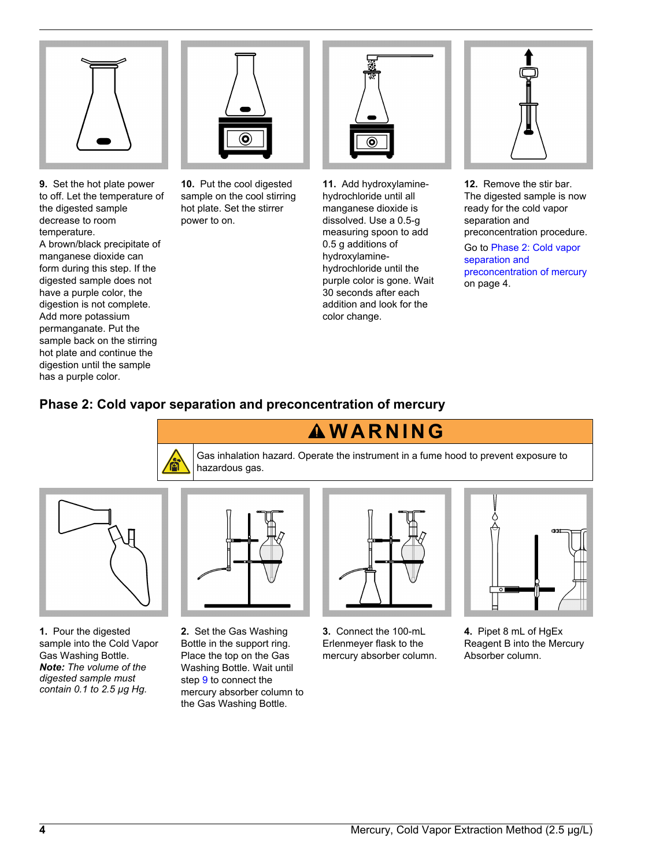

**9.** Set the hot plate power to off. Let the temperature of the digested sample decrease to room temperature. A brown/black precipitate of manganese dioxide can form during this step. If the digested sample does not have a purple color, the digestion is not complete. Add more potassium permanganate. Put the sample back on the stirring hot plate and continue the digestion until the sample has a purple color.



**10.** Put the cool digested sample on the cool stirring hot plate. Set the stirrer power to on.



**11.** Add hydroxylaminehydrochloride until all manganese dioxide is dissolved. Use a 0.5-g measuring spoon to add 0.5 g additions of hydroxylaminehydrochloride until the purple color is gone. Wait 30 seconds after each addition and look for the color change.



**12.** Remove the stir bar. The digested sample is now ready for the cold vapor separation and preconcentration procedure.

Go to [Phase 2: Cold vapor](#page-3-0) [separation and](#page-3-0) [preconcentration of mercury](#page-3-0) on page 4.

# <span id="page-3-0"></span>**Phase 2: Cold vapor separation and preconcentration of mercury**





**1.** Pour the digested sample into the Cold Vapor Gas Washing Bottle. *Note: The volume of the digested sample must contain 0.1 to 2.5 µg Hg.*

**2.** Set the Gas Washing Bottle in the support ring. Place the top on the Gas Washing Bottle. Wait until step 9 to connect the mercury absorber column to the Gas Washing Bottle.



**3.** Connect the 100-mL Erlenmeyer flask to the mercury absorber column.



**4.** Pipet 8 mL of HgEx Reagent B into the Mercury Absorber column.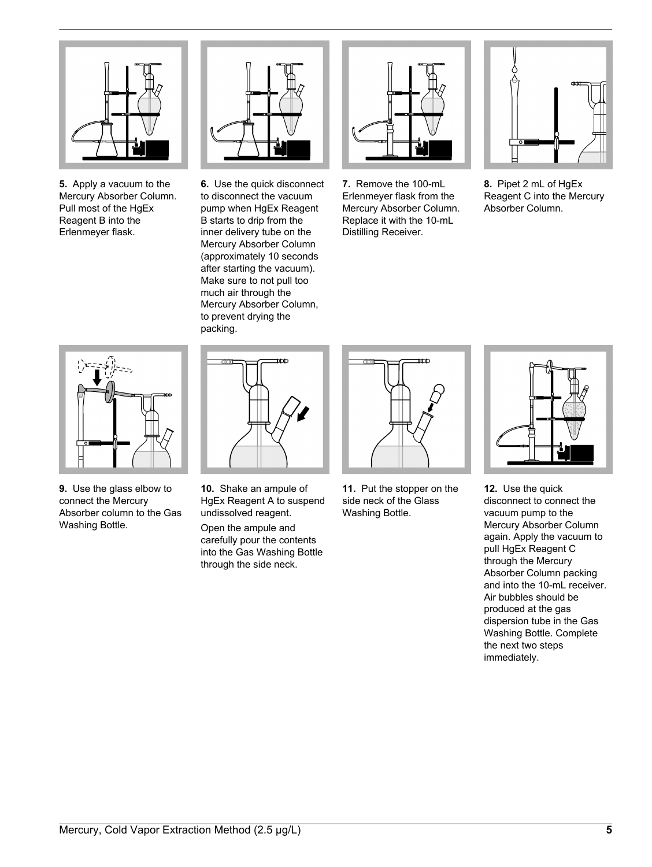

**5.** Apply a vacuum to the Mercury Absorber Column. Pull most of the HaEx Reagent B into the Erlenmeyer flask.



**6.** Use the quick disconnect to disconnect the vacuum pump when HgEx Reagent B starts to drip from the inner delivery tube on the Mercury Absorber Column (approximately 10 seconds after starting the vacuum). Make sure to not pull too much air through the Mercury Absorber Column, to prevent drying the packing.



**7.** Remove the 100-mL Erlenmeyer flask from the Mercury Absorber Column. Replace it with the 10-mL Distilling Receiver.



**8.** Pipet 2 mL of HgEx Reagent C into the Mercury Absorber Column.



**9.** Use the glass elbow to connect the Mercury Absorber column to the Gas Washing Bottle.



**10.** Shake an ampule of HgEx Reagent A to suspend undissolved reagent.

Open the ampule and carefully pour the contents into the Gas Washing Bottle through the side neck.



**11.** Put the stopper on the side neck of the Glass Washing Bottle.



**12.** Use the quick disconnect to connect the vacuum pump to the Mercury Absorber Column again. Apply the vacuum to pull HgEx Reagent C through the Mercury Absorber Column packing and into the 10-mL receiver. Air bubbles should be produced at the gas dispersion tube in the Gas Washing Bottle. Complete the next two steps immediately.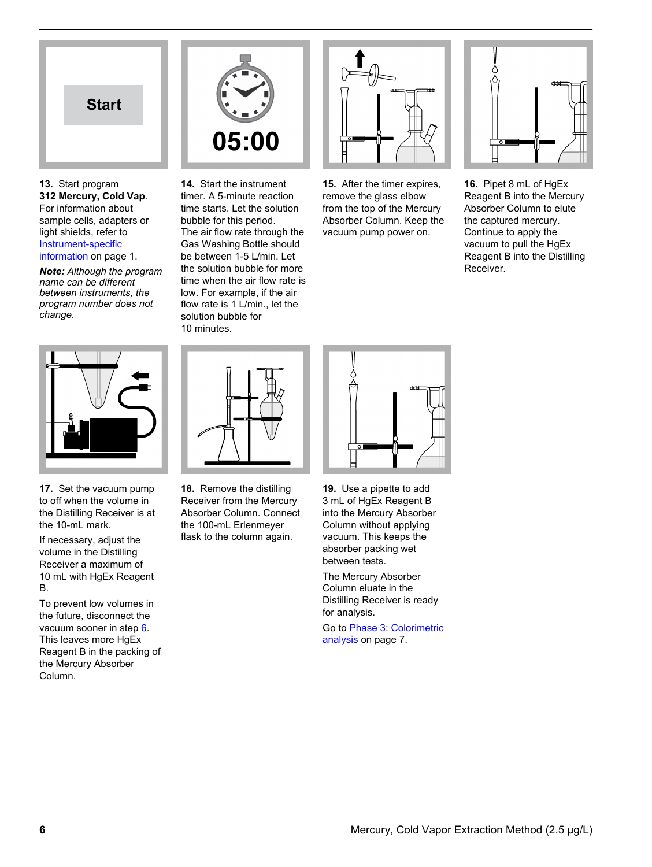

**13.** Start program **312 Mercury, Cold Vap**. For information about sample cells, adapters or light shields, refer to [Instrument-specific](#page-0-1) [information](#page-0-1) on page 1.

*Note: Although the program name can be different between instruments, the program number does not change.*



**17.** Set the vacuum pump to off when the volume in the Distilling Receiver is at the 10-mL mark.

If necessary, adjust the volume in the Distilling Receiver a maximum of 10 mL with HgEx Reagent B.

To prevent low volumes in the future, disconnect the vacuum sooner in step 6. This leaves more HgEx Reagent B in the packing of the Mercury Absorber Column.



**14.** Start the instrument timer. A 5-minute reaction time starts. Let the solution bubble for this period. The air flow rate through the Gas Washing Bottle should be between 1-5 L/min. Let the solution bubble for more time when the air flow rate is low. For example, if the air flow rate is 1 L/min., let the solution bubble for 10 minutes.



**15.** After the timer expires, remove the glass elbow from the top of the Mercury Absorber Column. Keep the vacuum pump power on.



**16.** Pipet 8 mL of HgEx Reagent B into the Mercury Absorber Column to elute the captured mercury. Continue to apply the vacuum to pull the HgEx Reagent B into the Distilling Receiver.



**18.** Remove the distilling Receiver from the Mercury Absorber Column. Connect the 100-mL Erlenmeyer flask to the column again.



**19.** Use a pipette to add 3 mL of HgEx Reagent B into the Mercury Absorber Column without applying vacuum. This keeps the absorber packing wet between tests.

The Mercury Absorber Column eluate in the Distilling Receiver is ready for analysis.

Go to [Phase 3: Colorimetric](#page-6-0) [analysis](#page-6-0) on page 7.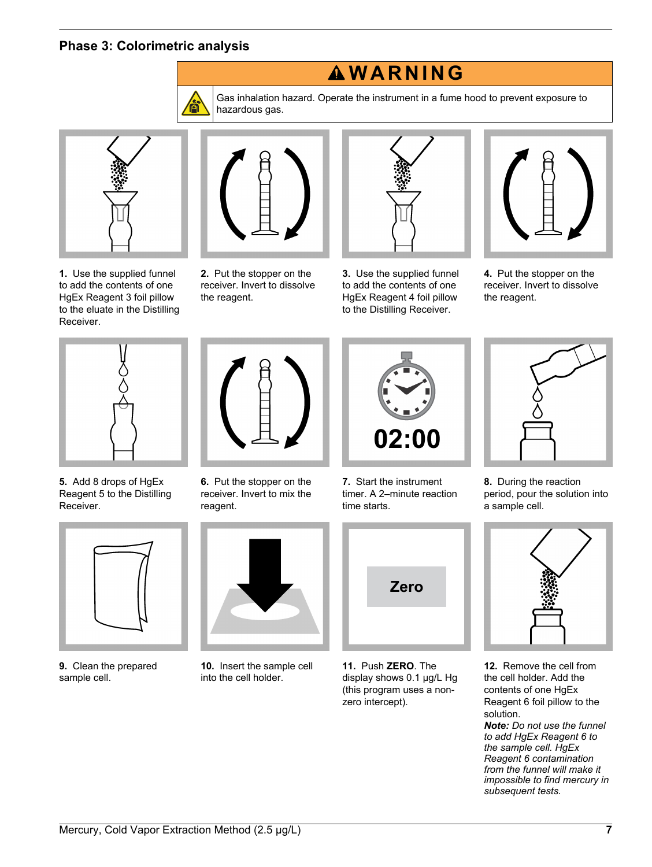## **Phase 3: Colorimetric analysis**



Gas inhalation hazard. Operate the instrument in a fume hood to prevent exposure to hazardous gas.

**W A R N I N G**

<span id="page-6-0"></span>

**1.** Use the supplied funnel to add the contents of one HgEx Reagent 3 foil pillow to the eluate in the Distilling Receiver.



**2.** Put the stopper on the receiver. Invert to dissolve the reagent.



**3.** Use the supplied funnel to add the contents of one HgEx Reagent 4 foil pillow to the Distilling Receiver.



**4.** Put the stopper on the receiver. Invert to dissolve the reagent.



**5.** Add 8 drops of HgEx Reagent 5 to the Distilling Receiver.



**9.** Clean the prepared sample cell.



**6.** Put the stopper on the receiver. Invert to mix the reagent.



**10.** Insert the sample cell into the cell holder.



**7.** Start the instrument timer. A 2–minute reaction time starts.



**11.** Push **ZERO**. The display shows 0.1 µg/L Hg (this program uses a nonzero intercept).



**8.** During the reaction period, pour the solution into a sample cell.



**12.** Remove the cell from the cell holder. Add the contents of one HgEx Reagent 6 foil pillow to the solution.

*Note: Do not use the funnel to add HgEx Reagent 6 to the sample cell. HgEx Reagent 6 contamination from the funnel will make it impossible to find mercury in subsequent tests.*

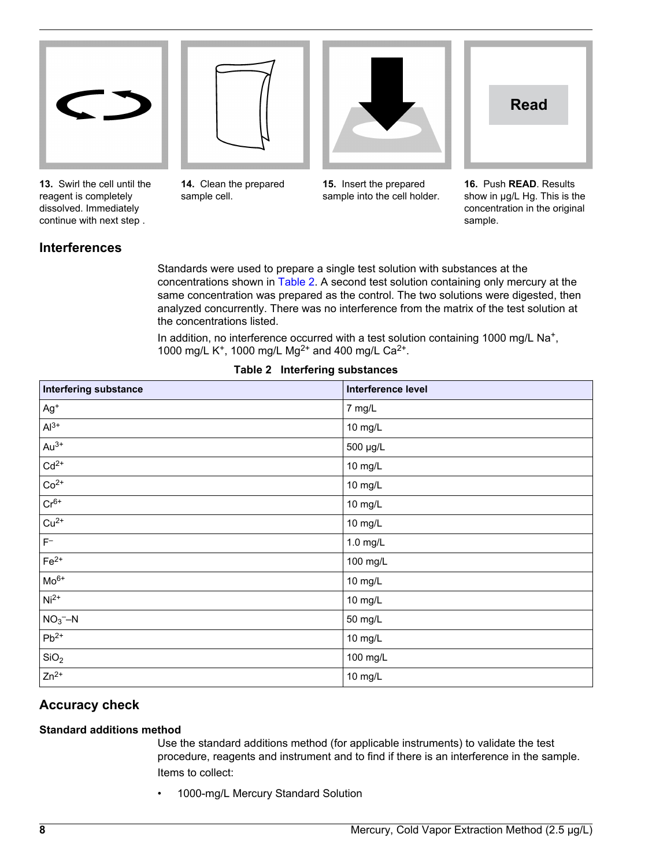







**13.** Swirl the cell until the reagent is completely dissolved. Immediately continue with next step .

**14.** Clean the prepared sample cell.

**15.** Insert the prepared sample into the cell holder.

**16.** Push **READ**. Results show in  $\mu$ g/L Hg. This is the concentration in the original sample.

# **Interferences**

Standards were used to prepare a single test solution with substances at the concentrations shown in [Table 2](#page-7-0). A second test solution containing only mercury at the same concentration was prepared as the control. The two solutions were digested, then analyzed concurrently. There was no interference from the matrix of the test solution at the concentrations listed.

In addition, no interference occurred with a test solution containing 1000 mg/L Na<sup>+</sup>, 1000 mg/L K<sup>+</sup>, 1000 mg/L Mg<sup>2+</sup> and 400 mg/L Ca<sup>2+</sup>.

<span id="page-7-0"></span>

| <b>Interfering substance</b> | Interference level |
|------------------------------|--------------------|
| $Ag+$                        | 7 mg/L             |
| $Al^{3+}$                    | 10 mg/L            |
| $Au^{3+}$                    | 500 µg/L           |
| $Cd2+$                       | 10 mg/L            |
| $Co2+$                       | 10 mg/L            |
| $Cr^{6+}$                    | 10 mg/L            |
| $Cu2+$                       | 10 mg/L            |
| $\mathsf{F}^+$               | 1.0 mg/L           |
| $Fe2+$                       | 100 mg/L           |
| $Mo6+$                       | 10 mg/L            |
| $Ni2+$                       | 10 mg/L            |
| $NO3 - N$                    | 50 mg/L            |
| $Pb^{2+}$                    | 10 mg/L            |
| SiO <sub>2</sub>             | 100 mg/L           |
| $Zn^{2+}$                    | 10 mg/L            |

#### **Table 2 Interfering substances**

# **Accuracy check**

#### **Standard additions method**

Use the standard additions method (for applicable instruments) to validate the test procedure, reagents and instrument and to find if there is an interference in the sample. Items to collect:

• 1000-mg/L Mercury Standard Solution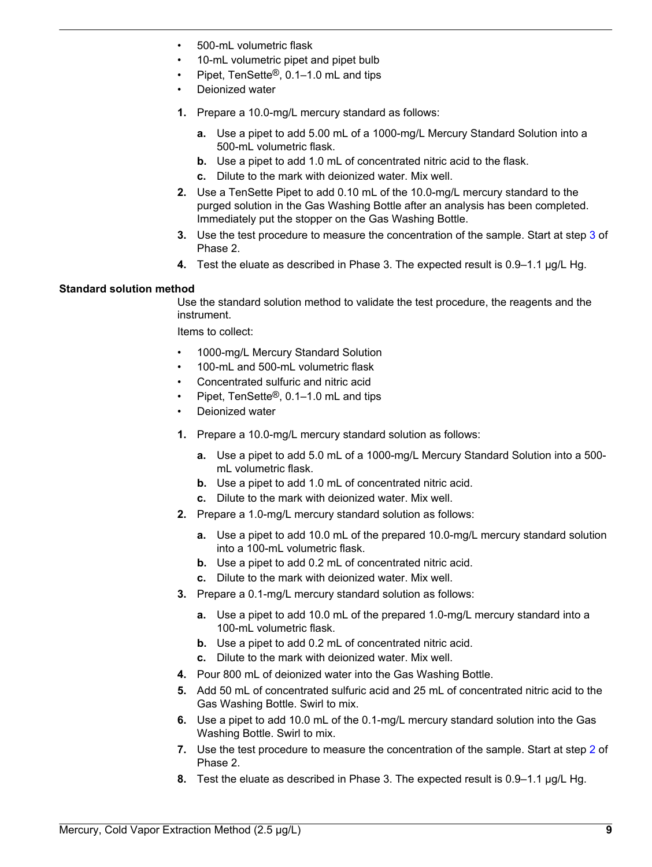- 500-mL volumetric flask
- 10-mL volumetric pipet and pipet bulb
- Pipet, TenSette®, 0.1–1.0 mL and tips
- Deionized water
- **1.** Prepare a 10.0-mg/L mercury standard as follows:
	- **a.** Use a pipet to add 5.00 mL of a 1000-mg/L Mercury Standard Solution into a 500-mL volumetric flask.
	- **b.** Use a pipet to add 1.0 mL of concentrated nitric acid to the flask.
	- **c.** Dilute to the mark with deionized water. Mix well.
- **2.** Use a TenSette Pipet to add 0.10 mL of the 10.0-mg/L mercury standard to the purged solution in the Gas Washing Bottle after an analysis has been completed. Immediately put the stopper on the Gas Washing Bottle.
- **3.** Use the test procedure to measure the concentration of the sample. Start at step 3 of Phase 2.
- **4.** Test the eluate as described in Phase 3. The expected result is 0.9–1.1 µg/L Hg.

#### <span id="page-8-0"></span>**Standard solution method**

Use the standard solution method to validate the test procedure, the reagents and the instrument.

Items to collect:

- 1000-mg/L Mercury Standard Solution
- 100-mL and 500-mL volumetric flask
- Concentrated sulfuric and nitric acid
- Pipet, TenSette®, 0.1–1.0 mL and tips
- Deionized water
- **1.** Prepare a 10.0-mg/L mercury standard solution as follows:
	- **a.** Use a pipet to add 5.0 mL of a 1000-mg/L Mercury Standard Solution into a 500 mL volumetric flask.
	- **b.** Use a pipet to add 1.0 mL of concentrated nitric acid.
	- **c.** Dilute to the mark with deionized water. Mix well.
- **2.** Prepare a 1.0-mg/L mercury standard solution as follows:
	- **a.** Use a pipet to add 10.0 mL of the prepared 10.0-mg/L mercury standard solution into a 100-mL volumetric flask.
	- **b.** Use a pipet to add 0.2 mL of concentrated nitric acid.
	- **c.** Dilute to the mark with deionized water. Mix well.
- **3.** Prepare a 0.1-mg/L mercury standard solution as follows:
	- **a.** Use a pipet to add 10.0 mL of the prepared 1.0-mg/L mercury standard into a 100-mL volumetric flask.
	- **b.** Use a pipet to add 0.2 mL of concentrated nitric acid.
	- **c.** Dilute to the mark with deionized water. Mix well.
- **4.** Pour 800 mL of deionized water into the Gas Washing Bottle.
- **5.** Add 50 mL of concentrated sulfuric acid and 25 mL of concentrated nitric acid to the Gas Washing Bottle. Swirl to mix.
- **6.** Use a pipet to add 10.0 mL of the 0.1-mg/L mercury standard solution into the Gas Washing Bottle. Swirl to mix.
- **7.** Use the test procedure to measure the concentration of the sample. Start at step 2 of Phase 2.
- **8.** Test the eluate as described in Phase 3. The expected result is 0.9–1.1 µg/L Hg.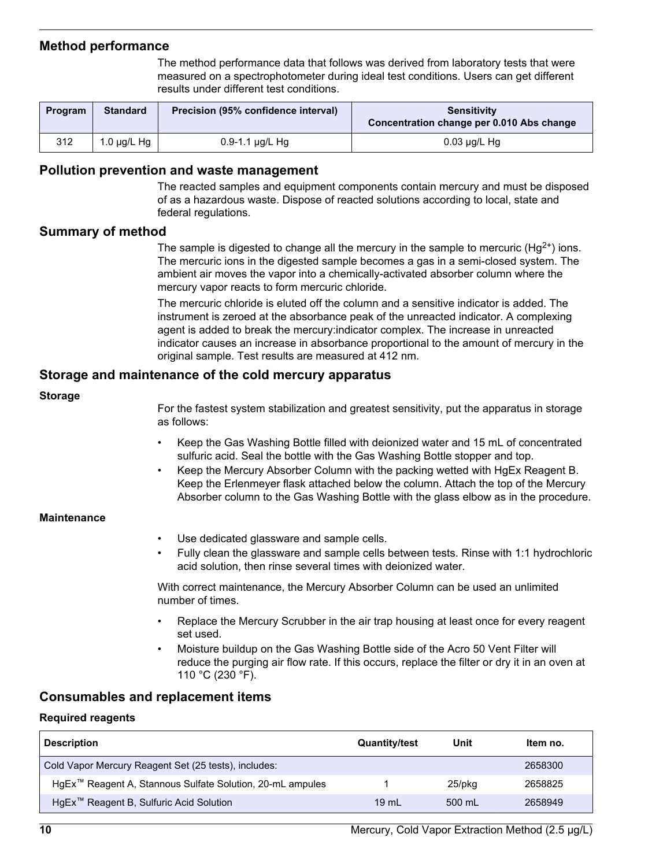# **Method performance**

The method performance data that follows was derived from laboratory tests that were measured on a spectrophotometer during ideal test conditions. Users can get different results under different test conditions.

| <b>Program</b> | <b>Standard</b>  | Precision (95% confidence interval) | Sensitivity<br>Concentration change per 0.010 Abs change |
|----------------|------------------|-------------------------------------|----------------------------------------------------------|
| 312            | 1.0 $\mu$ g/L Hg | $0.9 - 1.1$ µg/L Hg                 | $0.03 \mu q/L$ Hg                                        |

## **Pollution prevention and waste management**

The reacted samples and equipment components contain mercury and must be disposed of as a hazardous waste. Dispose of reacted solutions according to local, state and federal regulations.

# **Summary of method**

The sample is digested to change all the mercury in the sample to mercuric ( $Hg^{2+}$ ) ions. The mercuric ions in the digested sample becomes a gas in a semi-closed system. The ambient air moves the vapor into a chemically-activated absorber column where the mercury vapor reacts to form mercuric chloride.

The mercuric chloride is eluted off the column and a sensitive indicator is added. The instrument is zeroed at the absorbance peak of the unreacted indicator. A complexing agent is added to break the mercury:indicator complex. The increase in unreacted indicator causes an increase in absorbance proportional to the amount of mercury in the original sample. Test results are measured at 412 nm.

# **Storage and maintenance of the cold mercury apparatus**

#### **Storage**

For the fastest system stabilization and greatest sensitivity, put the apparatus in storage as follows:

- Keep the Gas Washing Bottle filled with deionized water and 15 mL of concentrated sulfuric acid. Seal the bottle with the Gas Washing Bottle stopper and top.
- Keep the Mercury Absorber Column with the packing wetted with HgEx Reagent B. Keep the Erlenmeyer flask attached below the column. Attach the top of the Mercury Absorber column to the Gas Washing Bottle with the glass elbow as in the procedure.

#### **Maintenance**

- Use dedicated glassware and sample cells.
- Fully clean the glassware and sample cells between tests. Rinse with 1:1 hydrochloric acid solution, then rinse several times with deionized water.

With correct maintenance, the Mercury Absorber Column can be used an unlimited number of times.

- Replace the Mercury Scrubber in the air trap housing at least once for every reagent set used.
- Moisture buildup on the Gas Washing Bottle side of the Acro 50 Vent Filter will reduce the purging air flow rate. If this occurs, replace the filter or dry it in an oven at 110 °C (230 °F).

# <span id="page-9-1"></span>**Consumables and replacement items**

#### <span id="page-9-0"></span>**Required reagents**

| <b>Description</b>                                                    | <b>Quantity/test</b> | Unit   | Item no. |
|-----------------------------------------------------------------------|----------------------|--------|----------|
| Cold Vapor Mercury Reagent Set (25 tests), includes:                  |                      |        | 2658300  |
| HgEx <sup>™</sup> Reagent A, Stannous Sulfate Solution, 20-mL ampules |                      | 25/pkg | 2658825  |
| HgEx <sup>™</sup> Reagent B, Sulfuric Acid Solution                   | $19 \text{ mL}$      | 500 mL | 2658949  |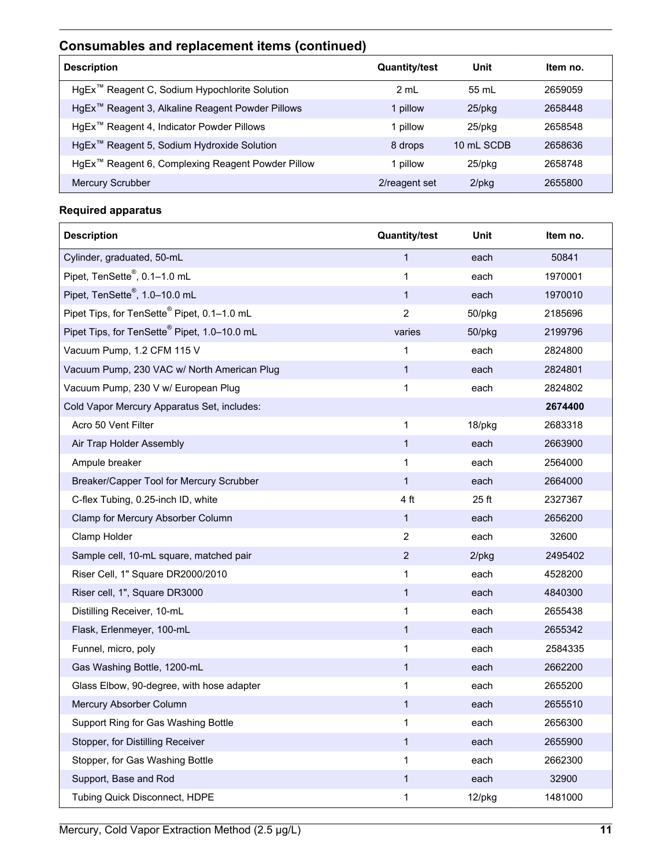# **Consumables and replacement items (continued)**

| <b>Description</b>                                            | <b>Quantity/test</b> | Unit         | Item no. |
|---------------------------------------------------------------|----------------------|--------------|----------|
| HgEx <sup>™</sup> Reagent C, Sodium Hypochlorite Solution     | 2 mL                 | 55 mL        | 2659059  |
| HgEx <sup>™</sup> Reagent 3, Alkaline Reagent Powder Pillows  | 1 pillow             | $25$ /p $kg$ | 2658448  |
| HgEx <sup>™</sup> Reagent 4, Indicator Powder Pillows         | 1 pillow             | $25$ /pkq    | 2658548  |
| HgEx <sup>™</sup> Reagent 5, Sodium Hydroxide Solution        | 8 drops              | 10 mL SCDB   | 2658636  |
| HgEx <sup>™</sup> Reagent 6, Complexing Reagent Powder Pillow | 1 pillow             | 25/pkg       | 2658748  |
| <b>Mercury Scrubber</b>                                       | 2/reagent set        | $2$ /pkg     | 2655800  |

# <span id="page-10-0"></span>**Required apparatus**

| <b>Description</b>                                       | <b>Quantity/test</b> | Unit     | Item no. |
|----------------------------------------------------------|----------------------|----------|----------|
| Cylinder, graduated, 50-mL                               | $\mathbf{1}$         | each     | 50841    |
| Pipet, TenSette <sup>®</sup> , 0.1-1.0 mL                | $\mathbf{1}$         | each     | 1970001  |
| Pipet, TenSette <sup>®</sup> , 1.0-10.0 mL               | 1                    | each     | 1970010  |
| Pipet Tips, for TenSette <sup>®</sup> Pipet, 0.1-1.0 mL  | $\overline{2}$       | 50/pkg   | 2185696  |
| Pipet Tips, for TenSette <sup>®</sup> Pipet, 1.0-10.0 mL | varies               | 50/pkg   | 2199796  |
| Vacuum Pump, 1.2 CFM 115 V                               | 1                    | each     | 2824800  |
| Vacuum Pump, 230 VAC w/ North American Plug              | $\mathbf{1}$         | each     | 2824801  |
| Vacuum Pump, 230 V w/ European Plug                      | $\mathbf{1}$         | each     | 2824802  |
| Cold Vapor Mercury Apparatus Set, includes:              |                      |          | 2674400  |
| Acro 50 Vent Filter                                      | 1                    | 18/pkg   | 2683318  |
| Air Trap Holder Assembly                                 | $\mathbf{1}$         | each     | 2663900  |
| Ampule breaker                                           | 1                    | each     | 2564000  |
| Breaker/Capper Tool for Mercury Scrubber                 | $\mathbf{1}$         | each     | 2664000  |
| C-flex Tubing, 0.25-inch ID, white                       | 4 ft                 | 25 ft    | 2327367  |
| Clamp for Mercury Absorber Column                        | 1                    | each     | 2656200  |
| Clamp Holder                                             | $\overline{2}$       | each     | 32600    |
| Sample cell, 10-mL square, matched pair                  | $\overline{2}$       | $2$ /pkg | 2495402  |
| Riser Cell, 1" Square DR2000/2010                        | 1                    | each     | 4528200  |
| Riser cell, 1", Square DR3000                            | $\mathbf{1}$         | each     | 4840300  |
| Distilling Receiver, 10-mL                               | $\mathbf{1}$         | each     | 2655438  |
| Flask, Erlenmeyer, 100-mL                                | 1                    | each     | 2655342  |
| Funnel, micro, poly                                      | 1                    | each     | 2584335  |
| Gas Washing Bottle, 1200-mL                              | $\mathbf{1}$         | each     | 2662200  |
| Glass Elbow, 90-degree, with hose adapter                | 1                    | each     | 2655200  |
| Mercury Absorber Column                                  | $\mathbf{1}$         | each     | 2655510  |
| Support Ring for Gas Washing Bottle                      | 1                    | each     | 2656300  |
| Stopper, for Distilling Receiver                         | $\mathbf 1$          | each     | 2655900  |
| Stopper, for Gas Washing Bottle                          | 1                    | each     | 2662300  |
| Support, Base and Rod                                    | $\mathbf{1}$         | each     | 32900    |
| Tubing Quick Disconnect, HDPE                            | 1                    | 12/pkg   | 1481000  |